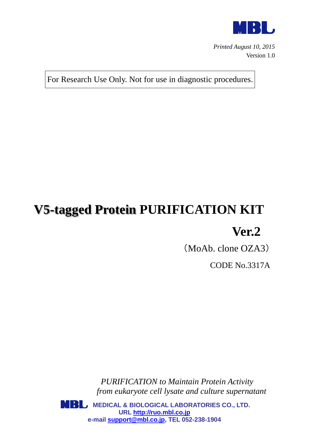

*Printed August 10, 2015* Version 1.0

For Research Use Only. Not for use in diagnostic procedures.

# **V5-tagged Protein PURIFICATION KIT**

## **Ver.2**

(MoAb. clone OZA3)

CODE No.3317A

*PURIFICATION to Maintain Protein Activity from eukaryote cell lysate and culture supernatant*

**MBL** MEDICAL & BIOLOGICAL LABORATORIES CO., LTD. **URL [http://ruo.mbl.co.jp](http://ruo.mbl.co.jp/) e-mail [support@mbl.co.jp,](mailto:support@mbl.co.jp) TEL 052-238-1904**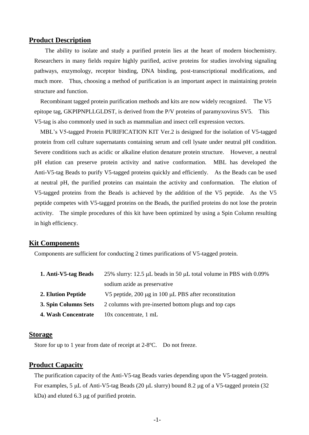#### **Product Description**

The ability to isolate and study a purified protein lies at the heart of modern biochemistry. Researchers in many fields require highly purified, active proteins for studies involving signaling pathways, enzymology, receptor binding, DNA binding, post-transcriptional modifications, and much more. Thus, choosing a method of purification is an important aspect in maintaining protein structure and function.

Recombinant tagged protein purification methods and kits are now widely recognized. The V5 epitope tag, GKPIPNPLLGLDST, is derived from the P/V proteins of paramyxovirus SV5. This V5-tag is also commonly used in such as mammalian and insect cell expression vectors.

MBL's V5-tagged Protein PURIFICATION KIT Ver.2 is designed for the isolation of V5-tagged protein from cell culture supernatants containing serum and cell lysate under neutral pH condition. Severe conditions such as acidic or alkaline elution denature protein structure. However, a neutral pH elution can preserve protein activity and native conformation. MBL has developed the Anti-V5-tag Beads to purify V5-tagged proteins quickly and efficiently. As the Beads can be used at neutral pH, the purified proteins can maintain the activity and conformation. The elution of V5-tagged proteins from the Beads is achieved by the addition of the V5 peptide. As the V5 peptide competes with V5-tagged proteins on the Beads, the purified proteins do not lose the protein activity. The simple procedures of this kit have been optimized by using a Spin Column resulting in high efficiency.

#### **Kit Components**

Components are sufficient for conducting 2 times purifications of V5-tagged protein.

| 1. Anti-V5-tag Beads      | 25% slurry: 12.5 $\mu$ L beads in 50 $\mu$ L total volume in PBS with 0.09% |
|---------------------------|-----------------------------------------------------------------------------|
|                           | sodium azide as preservative                                                |
| <b>2. Elution Peptide</b> | V5 peptide, 200 µg in 100 µL PBS after reconstitution                       |
| 3. Spin Columns Sets      | 2 columns with pre-inserted bottom plugs and top caps                       |
| 4. Wash Concentrate       | 10x concentrate, 1 mL                                                       |

#### **Storage**

Store for up to 1 year from date of receipt at 2-8ºC. Do not freeze.

#### **Product Capacity**

The purification capacity of the Anti-V5-tag Beads varies depending upon the V5-tagged protein. For examples, 5  $\mu$ L of Anti-V5-tag Beads (20  $\mu$ L slurry) bound 8.2  $\mu$ g of a V5-tagged protein (32  $kDa$ ) and eluted 6.3  $\mu$ g of purified protein.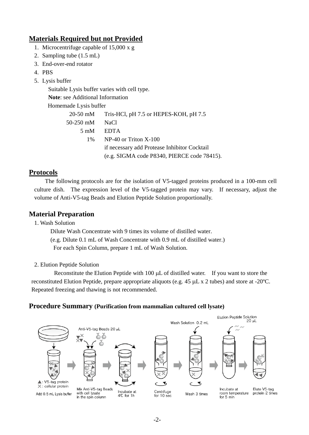## **Materials Required but not Provided**

- 1. Microcentrifuge capable of 15,000 x g
- 2. Sampling tube (1.5 mL)
- 3. End-over-end rotator
- 4. PBS
- 5. Lysis buffer

Suitable Lysis buffer varies with cell type.

**Note**: see Additional Information

Homemade Lysis buffer

|           | 20-50 mM Tris-HCl, pH 7.5 or HEPES-KOH, pH 7.5 |
|-----------|------------------------------------------------|
| 50-250 mM | NaCl.                                          |
|           | 5 mM EDTA                                      |
| $1\%$     | $NP-40$ or Triton $X-100$                      |
|           | if necessary add Protease Inhibitor Cocktail   |
|           | (e.g. SIGMA code P8340, PIERCE code 78415).    |

## **Protocols**

The following protocols are for the isolation of V5-tagged proteins produced in a 100-mm cell culture dish. The expression level of the V5-tagged protein may vary. If necessary, adjust the volume of Anti-V5-tag Beads and Elution Peptide Solution proportionally.

## **Material Preparation**

1. Wash Solution

 Dilute Wash Concentrate with 9 times its volume of distilled water. (e.g. Dilute 0.1 mL of Wash Concentrate with 0.9 mL of distilled water.) For each Spin Column, prepare 1 mL of Wash Solution.

#### 2. Elution Peptide Solution

Reconstitute the Elution Peptide with 100  $\mu$ L of distilled water. If you want to store the reconstituted Elution Peptide, prepare appropriate aliquots (e.g.  $45 \mu L \times 2$  tubes) and store at -20 $^{\circ}$ C. Repeated freezing and thawing is not recommended.

## **Procedure Summary (Purification from mammalian cultured cell lysate)**

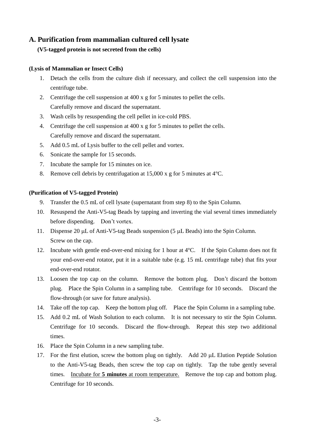## **A. Purification from mammalian cultured cell lysate**

#### **(V5-tagged protein is not secreted from the cells)**

#### **(Lysis of Mammalian or Insect Cells)**

- 1. Detach the cells from the culture dish if necessary, and collect the cell suspension into the centrifuge tube.
- 2. Centrifuge the cell suspension at 400 x g for 5 minutes to pellet the cells. Carefully remove and discard the supernatant.
- 3. Wash cells by resuspending the cell pellet in ice-cold PBS.
- 4. Centrifuge the cell suspension at 400 x g for 5 minutes to pellet the cells. Carefully remove and discard the supernatant.
- 5. Add 0.5 mL of Lysis buffer to the cell pellet and vortex.
- 6. Sonicate the sample for 15 seconds.
- 7. Incubate the sample for 15 minutes on ice.
- 8. Remove cell debris by centrifugation at 15,000 x g for 5 minutes at 4ºC.

#### **(Purification of V5-tagged Protein)**

- 9. Transfer the 0.5 mL of cell lysate (supernatant from step 8) to the Spin Column.
- 10. Resuspend the Anti-V5-tag Beads by tapping and inverting the vial several times immediately before dispending. Don't vortex.
- 11. Dispense 20  $\mu$ L of Anti-V5-tag Beads suspension (5  $\mu$ L Beads) into the Spin Column. Screw on the cap.
- 12. Incubate with gentle end-over-end mixing for 1 hour at 4ºC. If the Spin Column does not fit your end-over-end rotator, put it in a suitable tube (e.g. 15 mL centrifuge tube) that fits your end-over-end rotator.
- 13. Loosen the top cap on the column. Remove the bottom plug. Don't discard the bottom plug. Place the Spin Column in a sampling tube. Centrifuge for 10 seconds. Discard the flow-through (or save for future analysis).
- 14. Take off the top cap. Keep the bottom plug off. Place the Spin Column in a sampling tube.
- 15. Add 0.2 mL of Wash Solution to each column. It is not necessary to stir the Spin Column. Centrifuge for 10 seconds. Discard the flow-through. Repeat this step two additional times.
- 16. Place the Spin Column in a new sampling tube.
- 17. For the first elution, screw the bottom plug on tightly. Add 20 µL Elution Peptide Solution to the Anti-V5-tag Beads, then screw the top cap on tightly. Tap the tube gently several times. Incubate for **5 minutes** at room temperature. Remove the top cap and bottom plug. Centrifuge for 10 seconds.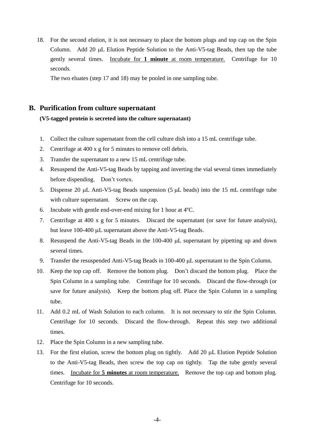18. For the second elution, it is not necessary to place the bottom plugs and top cap on the Spin Column. Add 20  $\mu$ L Elution Peptide Solution to the Anti-V5-tag Beads, then tap the tube gently several times. Incubate for **1 minute** at room temperature. Centrifuge for 10 seconds.

The two eluates (step 17 and 18) may be pooled in one sampling tube.

#### **B. Purification from culture supernatant**

#### **(V5-tagged protein is secreted into the culture supernatant)**

- 1. Collect the culture supernatant from the cell culture dish into a 15 mL centrifuge tube.
- 2. Centrifuge at 400 x g for 5 minutes to remove cell debris.
- 3. Transfer the supernatant to a new 15 mL centrifuge tube.
- 4. Resuspend the Anti-V5-tag Beads by tapping and inverting the vial several times immediately before dispending. Don't vortex.
- 5. Dispense 20  $\mu$ L Anti-V5-tag Beads suspension (5  $\mu$ L beads) into the 15 mL centrifuge tube with culture supernatant. Screw on the cap.
- 6. Incubate with gentle end-over-end mixing for 1 hour at 4ºC.
- 7. Centrifuge at 400 x g for 5 minutes. Discard the supernatant (or save for future analysis), but leave  $100-400 \mu L$  supernatant above the Anti-V5-tag Beads.
- 8. Resuspend the Anti-V5-tag Beads in the 100-400 µL supernatant by pipetting up and down several times.
- 9. Transfer the resuspended Anti-V5-tag Beads in  $100-400 \mu L$  supernatant to the Spin Column.
- 10. Keep the top cap off. Remove the bottom plug. Don't discard the bottom plug. Place the Spin Column in a sampling tube. Centrifuge for 10 seconds. Discard the flow-through (or save for future analysis). Keep the bottom plug off. Place the Spin Column in a sampling tube.
- 11. Add 0.2 mL of Wash Solution to each column. It is not necessary to stir the Spin Column. Centrifuge for 10 seconds. Discard the flow-through. Repeat this step two additional times.
- 12. Place the Spin Column in a new sampling tube.
- 13. For the first elution, screw the bottom plug on tightly. Add 20 µL Elution Peptide Solution to the Anti-V5-tag Beads, then screw the top cap on tightly. Tap the tube gently several times. Incubate for **5 minutes** at room temperature. Remove the top cap and bottom plug. Centrifuge for 10 seconds.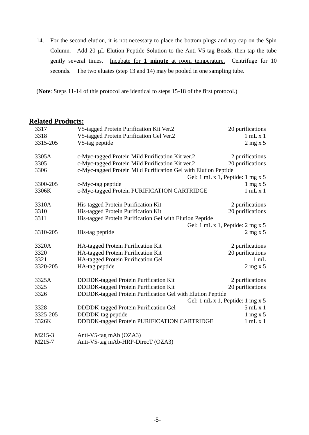14. For the second elution, it is not necessary to place the bottom plugs and top cap on the Spin Column. Add 20 µL Elution Peptide Solution to the Anti-V5-tag Beads, then tap the tube gently several times. Incubate for **1 minute** at room temperature. Centrifuge for 10 seconds. The two eluates (step 13 and 14) may be pooled in one sampling tube.

(**Note**: Steps 11-14 of this protocol are identical to steps 15-18 of the first protocol.)

## **Related Products:**

| 3317     | V5-tagged Protein Purification Kit Ver.2                        | 20 purifications                 |
|----------|-----------------------------------------------------------------|----------------------------------|
| 3318     | V5-tagged Protein Purification Gel Ver.2                        | $1$ mL x $1$                     |
| 3315-205 | V5-tag peptide                                                  | $2$ mg x 5                       |
| 3305A    | c-Myc-tagged Protein Mild Purification Kit ver.2                | 2 purifications                  |
| 3305     | c-Myc-tagged Protein Mild Purification Kit ver.2                | 20 purifications                 |
| 3306     | c-Myc-tagged Protein Mild Purification Gel with Elution Peptide |                                  |
|          |                                                                 | Gel: 1 mL x 1, Peptide: 1 mg x 5 |
| 3300-205 | c-Myc-tag peptide                                               | $1 \text{ mg} x 5$               |
| 3306K    | c-Myc-tagged Protein PURIFICATION CARTRIDGE                     | $1$ mL $x$ $1$                   |
| 3310A    | His-tagged Protein Purification Kit                             | 2 purifications                  |
| 3310     | His-tagged Protein Purification Kit                             | 20 purifications                 |
| 3311     | His-tagged Protein Purification Gel with Elution Peptide        |                                  |
|          |                                                                 | Gel: 1 mL x 1, Peptide: 2 mg x 5 |
| 3310-205 | His-tag peptide                                                 | $2$ mg x 5                       |
| 3320A    | HA-tagged Protein Purification Kit                              | 2 purifications                  |
| 3320     | HA-tagged Protein Purification Kit                              | 20 purifications                 |
| 3321     | HA-tagged Protein Purification Gel                              | $1 \text{ mL}$                   |
| 3320-205 | HA-tag peptide                                                  | $2$ mg x 5                       |
| 3325A    | DDDDK-tagged Protein Purification Kit                           | 2 purifications                  |
| 3325     | DDDDK-tagged Protein Purification Kit                           | 20 purifications                 |
| 3326     | DDDDK-tagged Protein Purification Gel with Elution Peptide      |                                  |
|          |                                                                 | Gel: 1 mL x 1, Peptide: 1 mg x 5 |
| 3328     | DDDDK-tagged Protein Purification Gel                           | 5mLx1                            |
| 3325-205 | DDDDK-tag peptide                                               | $1 \text{ mg} x 5$               |
| 3326K    | DDDDK-tagged Protein PURIFICATION CARTRIDGE                     | 1 mL x 1                         |
| M215-3   | Anti-V5-tag mAb (OZA3)                                          |                                  |
| M215-7   | Anti-V5-tag mAb-HRP-DirecT (OZA3)                               |                                  |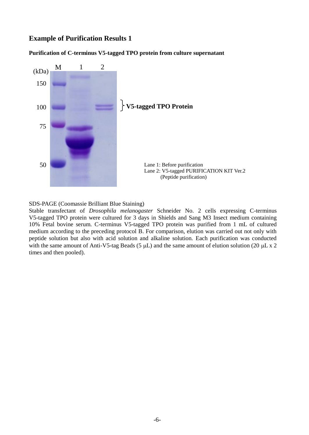## **Example of Purification Results 1**

**Purification of C-terminus V5-tagged TPO protein from culture supernatant**



SDS-PAGE (Coomassie Brilliant Blue Staining)

Stable transfectant of *Drosophila melanogaster* Schneider No. 2 cells expressing C-terminus V5-tagged TPO protein were cultured for 3 days in Shields and Sang M3 Insect medium containing 10% Fetal bovine serum. C-terminus V5-tagged TPO protein was purified from 1 mL of cultured medium according to the preceding protocol B. For comparison, elution was carried out not only with peptide solution but also with acid solution and alkaline solution. Each purification was conducted with the same amount of Anti-V5-tag Beads (5  $\mu$ L) and the same amount of elution solution (20  $\mu$ L x 2 times and then pooled).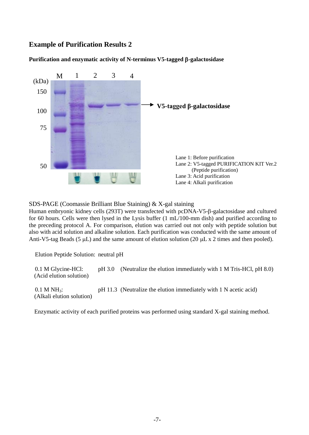## **Example of Purification Results 2**

#### **Purification and enzymatic activity of N-terminus V5-tagged -galactosidase**



SDS-PAGE (Coomassie Brilliant Blue Staining) & X-gal staining

Human embryonic kidney cells (293T) were transfected with pcDNA-V5-8-galactosidase and cultured for 60 hours. Cells were then lysed in the Lysis buffer (1 mL/100-mm dish) and purified according to the preceding protocol A. For comparison, elution was carried out not only with peptide solution but also with acid solution and alkaline solution. Each purification was conducted with the same amount of Anti-V5-tag Beads (5  $\mu$ L) and the same amount of elution solution (20  $\mu$ L x 2 times and then pooled).

Elution Peptide Solution: neutral pH

 0.1 M Glycine-HCl: pH 3.0 (Neutralize the elution immediately with 1 M Tris-HCl, pH 8.0) (Acid elution solution)

 $0.1$  M NH<sub>3</sub>: pH 11.3 (Neutralize the elution immediately with 1 N acetic acid) (Alkali elution solution)

Enzymatic activity of each purified proteins was performed using standard X-gal staining method.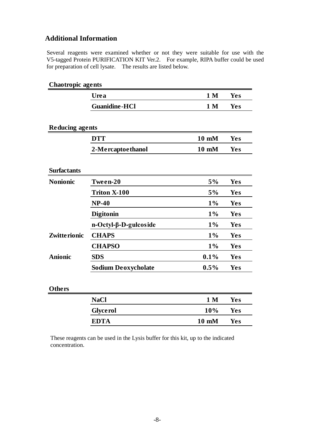## **Additional Information**

Several reagents were examined whether or not they were suitable for use with the V5-tagged Protein PURIFICATION KIT Ver.2. For example, RIPA buffer could be used for preparation of cell lysate. The results are listed below.

| <b>Chaotropic agents</b> |                             |                 |            |
|--------------------------|-----------------------------|-----------------|------------|
|                          | Urea                        | 1 <sub>M</sub>  | Yes        |
|                          | <b>Guanidine-HCl</b>        | 1 <sub>M</sub>  | <b>Yes</b> |
| <b>Reducing agents</b>   |                             |                 |            |
|                          | <b>DTT</b>                  | $10 \text{ mM}$ | <b>Yes</b> |
|                          | 2-Mercaptoethanol           | 10 mM           | <b>Yes</b> |
| <b>Surfactants</b>       |                             |                 |            |
| <b>Nonionic</b>          | Tween-20                    | 5%              | Yes        |
|                          | <b>Triton X-100</b>         | 5%              | Yes        |
|                          | $NP-40$                     | $1\%$           | Yes        |
|                          | <b>Digitonin</b>            | $1\%$           | <b>Yes</b> |
|                          | $n-Octyl-\beta-D-gulcoside$ | $1\%$           | Yes        |
| Zwitte rionic            | <b>CHAPS</b>                | $1\%$           | Yes        |
|                          | <b>CHAPSO</b>               | $1\%$           | Yes        |
| <b>Anionic</b>           | <b>SDS</b>                  | 0.1%            | <b>Yes</b> |
|                          | <b>Sodium Deoxycholate</b>  | 0.5%            | <b>Yes</b> |
| Others                   |                             |                 |            |
|                          | <b>NaCl</b>                 | 1 <sub>M</sub>  | <b>Yes</b> |
|                          | <b>Glycerol</b>             | 10%             | Yes        |
|                          | <b>EDTA</b>                 | 10 mM           | Yes        |
|                          |                             |                 |            |

These reagents can be used in the Lysis buffer for this kit, up to the indicated concentration.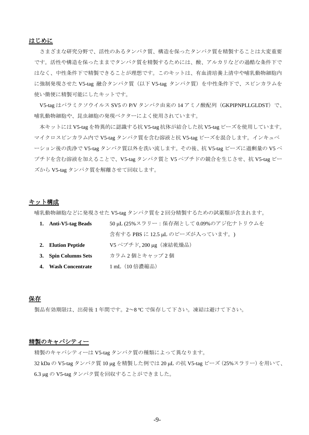#### はじめに

さまざまな研究分野で、活性のあるタンパク質、構造を保ったタンパク質を精製することは大変重要 です。活性や構造を保ったままでタンパク質を精製するためには、酸、アルカリなどの過酷な条件下で はなく、中性条件下で精製できることが理想です。このキットは、有血清培養上清中や哺乳動物細胞内 に強制発現させた V5-tag 融合タンパク質(以下 V5-tag タンパク質)を中性条件下で、スピンカラムを 使い簡便に精製可能にしたキットです。

V5-tag はパラミクソウイルス SV5 の P/V タンパク由来の 14 アミノ酸配列(GKPIPNPLLGLDST)で、 哺乳動物細胞や、昆虫細胞の発現ベクターによく使用されています。

本キットには V5-tag を特異的に認識する抗 V5-tag 抗体が結合した抗 V5-tag ビーズを使用しています。 マイクロスピンカラム内で V5-tag タンパク質を含む溶液と抗 V5-tag ビーズを混合します。インキュベ ーション後の洗浄で V5-tag タンパク質以外を洗い流します。その後、抗 V5-tag ビーズに過剰量の V5 ペ プチドを含む溶液を加えることで、V5-tag タンパク質と V5 ペプチドの競合を生じさせ、抗 V5-tag ビー ズから V5-tag タンパク質を解離させて回収します。

#### キット構成

哺乳動物細胞などに発現させた V5-tag タンパク質を 2 回分精製するための試薬類が含まれます。

| 1. Anti-V5-tag Beads | 50 μL (25%スラリー:保存剤として0.09%のアジ化ナトリウムを |
|----------------------|--------------------------------------|
|                      | 含有する PBS に 12.5 μL のビーズが入っています。)     |
| 2. Elution Peptide   | V5 ペプチド, 200 µg (凍結乾燥品)              |
| 3. Spin Columns Sets | カラム2個とキャップ2個                         |
| 4. Wash Concentrate  | 1 mL (10 倍濃縮品)                       |

#### 保存

製品有効期限は、出荷後 1 年間です。2~8 ºC で保存して下さい。凍結は避けて下さい。

#### 精製のキャパシティー

精製のキャパシティーは V5-tag タンパク質の種類によって異なります。 32 kDa の V5-tag タンパク質 10 µg を精製した例では 20 µL の抗 V5-tag ビーズ (25%スラリー) を用いて、 6.3 µg の V5-tag タンパク質を回収することができました。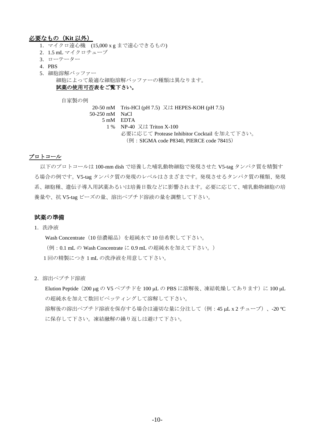#### 必要なもの(**Kit** 以外)

- 1.マイクロ遠心機 (15,000 x g まで遠心できるもの)
- 2.1.5 mL マイクロチューブ
- 3.ローテーター
- 4.PBS
- 5.細胞溶解バッファー
	- 細胞によって最適な細胞溶解バッファーの種類は異なります。

#### 試薬の使用可否表をご覧下さい。

自家製の例

20-50 mM Tris-HCl (pH 7.5) 又は HEPES-KOH (pH 7.5) 50-250 mM NaCl

- 5 mM EDTA
	- 1 % NP-40 又は Triton X-100
		- 必要に応じて Protease Inhibitor Cocktail を加えて下さい。
			- (例: SIGMA code P8340, PIERCE code 78415)

#### プロトコール

以下のプロトコールは 100-mm dish で培養した哺乳動物細胞で発現させた V5-tag タンパク質を精製す る場合の例です。V5-tag タンパク質の発現のレベルはさまざまです。発現させるタンパク質の種類、発現 系、細胞種、遺伝子導入用試薬あるいは培養日数などに影響されます。必要に応じて、哺乳動物細胞の培 養量や、抗 V5-tag ビーズの量、溶出ペプチド溶液の量を調整して下さい。

#### 試薬の準備

1.洗浄液

Wash Concentrate (10 倍濃縮品) を超純水で 10 倍希釈して下さい。

(例:0.1 mL の Wash Concentrate に 0.9 mL の超純水を加えて下さい。)

1 回の精製につき 1 mL の洗浄液を用意して下さい。

2.溶出ペプチド溶液

Elution Peptide (200 μg の V5 ペプチドを 100 μL の PBS に溶解後、凍結乾燥してあります)に 100 μL の超純水を加えて数回ピペッティングして溶解して下さい。 溶解後の溶出ペプチド溶液を保存する場合は適切な量に分注して(例:45 uL x 2 チューブ)、-20 ℃ に保存して下さい。凍結融解の繰り返しは避けて下さい。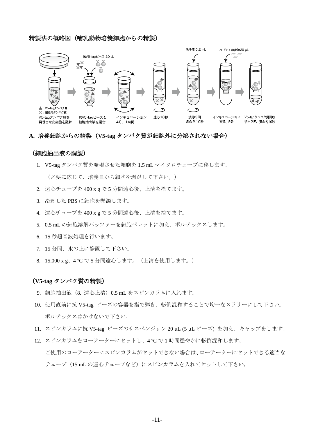#### 精製法の概略図(哺乳動物培養細胞からの精製)



#### **A.** 培養細胞からの精製(**V5-tag** タンパク質が細胞外に分泌されない場合)

#### (細胞抽出液の調製)

1. V5-tag タンパク質を発現させた細胞を 1.5 mL マイクロチューブに移します。

(必要に応じて、培養皿から細胞を剥がして下さい。)

- 2. 遠心チューブを 400 x g で 5 分間遠心後、上清を捨てます。
- 3. 冷却した PBS に細胞を懸濁します。
- 4. 遠心チューブを 400 x g で 5 分間遠心後、上清を捨てます。
- 5. 0.5 mL の細胞溶解バッファーを細胞ペレットに加え、ボルテックスします。
- 6. 15 秒超音波処理を行います。
- 7. 15 分間、氷の上に静置して下さい。
- 8. 15,000 x g、4 ºC で 5 分間遠心します。(上清を使用します。)

#### (**V5-tag** タンパク質の精製)

- 9. 細胞抽出液 (8. 遠心上清) 0.5 mL をスピンカラムに入れます。
- 10. 使用直前に抗 V5-tag ビーズの容器を指で弾き、転倒混和することで均一なスラリーにして下さい。 ボルテックスはかけないで下さい。
- 11. スピンカラムに抗 V5-tag ビーズのサスペンジョン 20 µL (5 µL ビーズ) を加え、キャップをします。
- 12. スピンカラムをローテーターにセットし、4 ºC で 1 時間穏やかに転倒混和します。 ご使用のローテーターにスピンカラムがセットできない場合は、ローテーターにセットできる適当な

チューブ (15 mL の遠心チューブなど)にスピンカラムを入れてセットして下さい。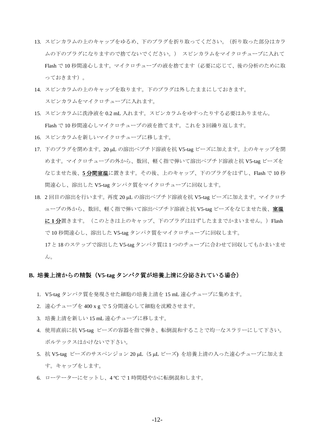- 13. スピンカラムの上のキャップをゆるめ、下のプラグを折り取ってください。(折り取った部分はカラ ムの下のプラグになりますので捨てないでください。) スピンカラムをマイクロチューブに入れて Flash で 10 秒間遠心します。マイクロチューブの液を捨てます(必要に応じて、後の分析のために取 っておきます)。
- 14. スピンカラムの上のキャップを取ります。下のプラグは外したままにしておきます。 スピンカラムをマイクロチューブに入れます。
- 15. スピンカラムに洗浄液を 0.2 mL 入れます。スピンカラムをゆすったりする必要はありません。 Flash で 10 秒間遠心しマイクロチューブの液を捨てます。これを 3 回繰り返します。
- 16. スピンカラムを新しいマイクロチューブに移します。
- 17. 下のプラグを閉めます。20 µL の溶出ペプチド溶液を抗 V5-tag ビーズに加えます。上のキャップを閉 めます。マイクロチューブの外から、数回、軽く指で弾いて溶出ペプチド溶液と抗 V5-tag ビーズを なじませた後、**5** 分間室温に置きます。その後、上のキャップ、下のプラグをはずし、Flash で 10 秒 間遠心し、溶出した V5-tag タンパク質をマイクロチューブに回収します。
- 18. 2回目の溶出を行います。再度 20 μL の溶出ペプチド溶液を抗 V5-tag ビーズに加えます。マイクロチ ューブの外から、数回、軽く指で弾いて溶出ペプチド溶液と抗 V5-tag ビーズをなじませた後、室温 に **1** 分置きます。(このときは上のキャップ、下のプラグははずしたままでかまいません。)Flash で 10 秒間遠心し、溶出した V5-tag タンパク質をマイクロチューブに回収します。
	- 17 と 18 のステップで溶出した V5-tag タンパク質は 1 つのチューブに合わせて回収してもかまいませ  $\lambda$

#### **B.** 培養上清からの精製(**V5-tag** タンパク質が培養上清に分泌されている場合)

- 1. V5-tag タンパク質を発現させた細胞の培養上清を 15 mL 遠心チューブに集めます。
- 2. 遠心チューブを 400 x g で 5 分間遠心して細胞を沈殿させます。
- 3. 培養上清を新しい 15 mL 遠心チューブに移します。
- 4. 使用直前に抗 V5-tag ビーズの容器を指で弾き、転倒混和することで均一なスラリーにして下さい。 ボルテックスはかけないで下さい。
- 5. 抗 V5-tag ビーズのサスペンジョン 20 μL (5 μL ビーズ) を培養上清の入った遠心チューブに加えま す。キャップをします。
- 6. ローテーターにセットし、4 ºC で 1 時間穏やかに転倒混和します。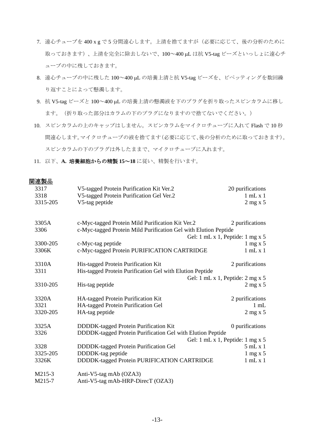- 7. 遠心チューブを 400 x g で 5 分間遠心します。上清を捨てますが(必要に応じて、後の分析のために 取っておきます)、上清を完全に除去しないで、100~400 uL は抗 V5-tag ビーズといっしょに遠心チ ューブの中に残しておきます。
- 8. 遠心チューブの中に残した 100~400 µL の培養上清と抗 V5-tag ビーズを、ピペッティングを数回繰 り返すことによって懸濁します。
- 9. 抗 V5-tag ビーズと 100~400 µL の培養上清の懸濁液を下のプラグを折り取ったスピンカラムに移し ます。(折り取った部分はカラムの下のプラグになりますので捨てないでください。)
- 10. スピンカラムの上のキャップはしません。スピンカラムをマイクロチューブに入れて Flash で 10 秒 間遠心します。マイクロチューブの液を捨てます(必要に応じて、後の分析のために取っておきます)。 スピンカラムの下のプラグは外したままで、マイクロチューブに入れます。
- 11. 以下、**A.** 培養細胞からの精製 **15**~**18** に従い、精製を行います。

#### 関連製品

| 3317     | V5-tagged Protein Purification Kit Ver.2                        | 20 purifications                                       |
|----------|-----------------------------------------------------------------|--------------------------------------------------------|
| 3318     | V5-tagged Protein Purification Gel Ver.2                        | $1$ mL $x$ $1$                                         |
| 3315-205 | V5-tag peptide                                                  | $2$ mg x 5                                             |
|          |                                                                 |                                                        |
| 3305A    | c-Myc-tagged Protein Mild Purification Kit Ver.2                | 2 purifications                                        |
| 3306     | c-Myc-tagged Protein Mild Purification Gel with Elution Peptide |                                                        |
|          |                                                                 | Gel: 1 mL x 1, Peptide: 1 mg x 5                       |
| 3300-205 | c-Myc-tag peptide                                               | $1 \text{ mg} \times 5$                                |
| 3306K    | c-Myc-tagged Protein PURIFICATION CARTRIDGE                     | $1$ mL $x$ $1$                                         |
|          |                                                                 |                                                        |
| 3310A    | His-tagged Protein Purification Kit                             | 2 purifications                                        |
| 3311     | His-tagged Protein Purification Gel with Elution Peptide        |                                                        |
|          |                                                                 | Gel: $1 \text{ mL} x 1$ , Peptide: $2 \text{ mg } x 5$ |
| 3310-205 | His-tag peptide                                                 | $2$ mg x 5                                             |
|          |                                                                 |                                                        |
| 3320A    | HA-tagged Protein Purification Kit                              | 2 purifications                                        |
| 3321     | HA-tagged Protein Purification Gel                              | $1 \text{ mL}$                                         |
| 3320-205 | HA-tag peptide                                                  | $2$ mg x 5                                             |
|          |                                                                 |                                                        |
| 3325A    | DDDDK-tagged Protein Purification Kit                           | 0 purifications                                        |
| 3326     | DDDDK-tagged Protein Purification Gel with Elution Peptide      |                                                        |
|          |                                                                 | Gel: 1 mL x 1, Peptide: 1 mg x 5                       |
| 3328     | DDDDK-tagged Protein Purification Gel                           | 5mLx1                                                  |
| 3325-205 | DDDDK-tag peptide                                               | $1$ mg x 5                                             |
|          |                                                                 |                                                        |
| 3326K    | DDDDK-tagged Protein PURIFICATION CARTRIDGE                     | $1$ mL $x$ $1$                                         |
| M215-3   | Anti-V5-tag mAb (OZA3)                                          |                                                        |
| M215-7   | Anti-V5-tag mAb-HRP-DirecT (OZA3)                               |                                                        |
|          |                                                                 |                                                        |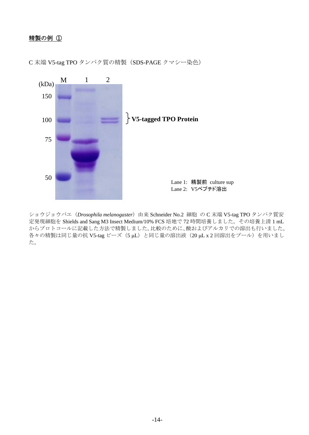## 精製の例 ①



C 末端 V5-tag TPO タンパク質の精製(SDS-PAGE クマシー染色)

ショウジョウバエ(*Drosophila melanogaster*)由来 Schneider No.2 細胞 の C 末端 V5-tag TPO タンパク質安 定発現細胞を Shields and Sang M3 Insect Medium/10% FCS 培地で 72 時間培養しました。その培養上清 1 mL からプロトコールに記載した方法で精製しました。比較のために、酸およびアルカリでの溶出も行いました。 各々の精製は同じ量の抗 V5-tag ビーズ (5 μL) と同じ量の溶出液 (20 μL x 2 回溶出をプール) を用いまし た。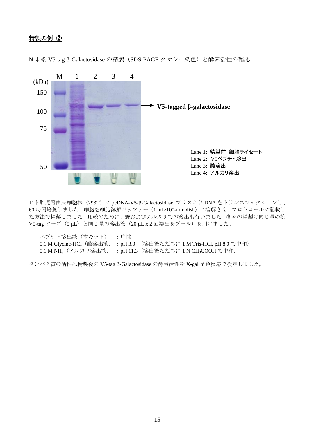## 精製の例 ②



N 末端 V5-tag β-Galactosidase の精製 (SDS-PAGE クマシー染色)と酵素活性の確認

ヒト胎児腎由来細胞株 (293T)に pcDNA-V5-B-Galactosidase プラスミド DNA をトランスフェクションし、 60 時間培養しました。細胞を細胞溶解バッファー(1 mL/100-mm dish)に溶解させ、プロトコールに記載し た方法で精製しました。比較のために、酸およびアルカリでの溶出も行いました。各々の精製は同じ量の抗 V5-tag ビーズ (5 μL) と同じ量の溶出液 (20 μL x 2 回溶出をプール) を用いました。

| ペプチド溶出液(本キット) :中性 |                                                                                  |  |
|-------------------|----------------------------------------------------------------------------------|--|
|                   | 0.1 M Glycine-HCl (酸溶出液) : pH 3.0 (溶出後ただちに 1 M Tris-HCl, pH 8.0 で中和)             |  |
|                   | 0.1 M NH <sub>3</sub> (アルカリ溶出液) : pH 11.3 (溶出後ただちに 1 N CH <sub>3</sub> COOH で中和) |  |

タンパク質の活性は精製後の V5-tag β-Galactosidase の酵素活性を X-gal 呈色反応で検定しました。